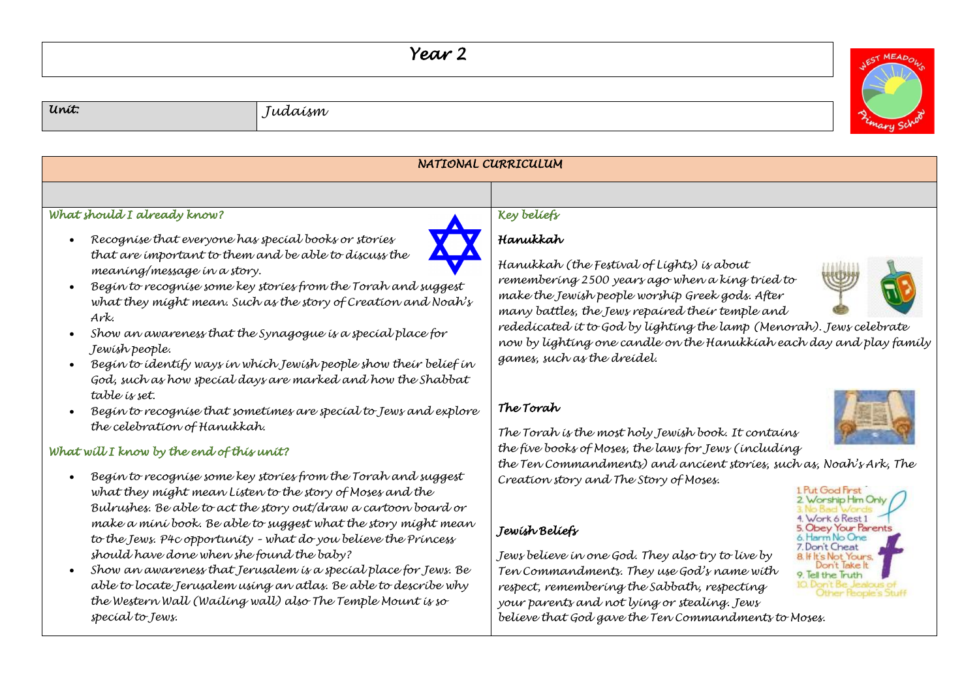## *Year 2*

*Unit: Judaism* 



| NATIONAL CURRICULUM                                                                                                                                                                                                                                                                                                                                                                                                                                                                                                                                                                                         |                                                                                                                                                                                                                                                                                                                                                                                                                                                                                                              |  |  |
|-------------------------------------------------------------------------------------------------------------------------------------------------------------------------------------------------------------------------------------------------------------------------------------------------------------------------------------------------------------------------------------------------------------------------------------------------------------------------------------------------------------------------------------------------------------------------------------------------------------|--------------------------------------------------------------------------------------------------------------------------------------------------------------------------------------------------------------------------------------------------------------------------------------------------------------------------------------------------------------------------------------------------------------------------------------------------------------------------------------------------------------|--|--|
|                                                                                                                                                                                                                                                                                                                                                                                                                                                                                                                                                                                                             |                                                                                                                                                                                                                                                                                                                                                                                                                                                                                                              |  |  |
| What should I already know?                                                                                                                                                                                                                                                                                                                                                                                                                                                                                                                                                                                 | Key beliefs                                                                                                                                                                                                                                                                                                                                                                                                                                                                                                  |  |  |
| Recognise that everyone has special books or stories<br>that are important to them and be able to discuss the<br>meaning/message in a story.<br>Begin to recognise some key stories from the Torah and suggest<br>what they might mean. Such as the story of Creation and Noah's<br>Ark.<br>Show an awareness that the Synagogue is a special place for<br>Jewish people.<br>Begin to identify ways in which Jewish people show their belief in<br>God, such as how special days are marked and how the Shabbat                                                                                             | Hanukkah<br>Hanukkah (the Festival of Lights) is about<br>remembering 2500 years ago when a king tried to<br>make the Jewish people worship Greek gods. After<br>many battles, the Jews repaired their temple and<br>rededicated it to God by lighting the lamp (Menorah). Jews celebrate<br>now by lighting one candle on the Hanukkiah each day and play family<br>games, such as the dreidel.                                                                                                             |  |  |
| table is set.<br>Begin to recognise that sometimes are special to Jews and explore<br>the celebration of Hanukkah.                                                                                                                                                                                                                                                                                                                                                                                                                                                                                          | The Torah<br>The Torah is the most holy Jewish book. It contains                                                                                                                                                                                                                                                                                                                                                                                                                                             |  |  |
| What will I know by the end of this unit?                                                                                                                                                                                                                                                                                                                                                                                                                                                                                                                                                                   | the five books of Moses, the laws for Jews (including<br>the Ten Commandments) and ancient stories, such as, Noah's Ark, The                                                                                                                                                                                                                                                                                                                                                                                 |  |  |
| Begin to recognise some key stories from the Torah and suggest<br>what they might mean Listen to the story of Moses and the<br>Bulrushes. Be able to act the story out/draw a cartoon board or<br>make a mini book. Be able to suggest what the story might mean<br>to the Jews. P4c opportunity - what do you believe the Princess<br>should have done when she found the baby?<br>Show an awareness that Jerusalem is a special place for Jews. Be<br>able to locate Jerusalem using an atlas. Be able to describe why<br>the Western Wall (Wailing wall) also The Temple Mount is so<br>special to Jews. | Creation story and The Story of Moses.<br>1 Put God First<br>2 Worship Him Only<br>Work 6 Rest 1<br>5. Obey Your Parents<br>Jewish Beliefs<br>6. Harm No One<br>7. Don't Cheat<br>Jews belíeve ín one God. They also try to líve by<br><b>8 If It's Not Yours.</b><br>ont lake It<br>Ten Commandments. They use God's name with<br>9. Iell the Truth<br>respect, remembering the Sabbath, respecting<br>your parents and not lying or stealing. Jews<br>believe that God gave the Ten Commandments to Moses. |  |  |